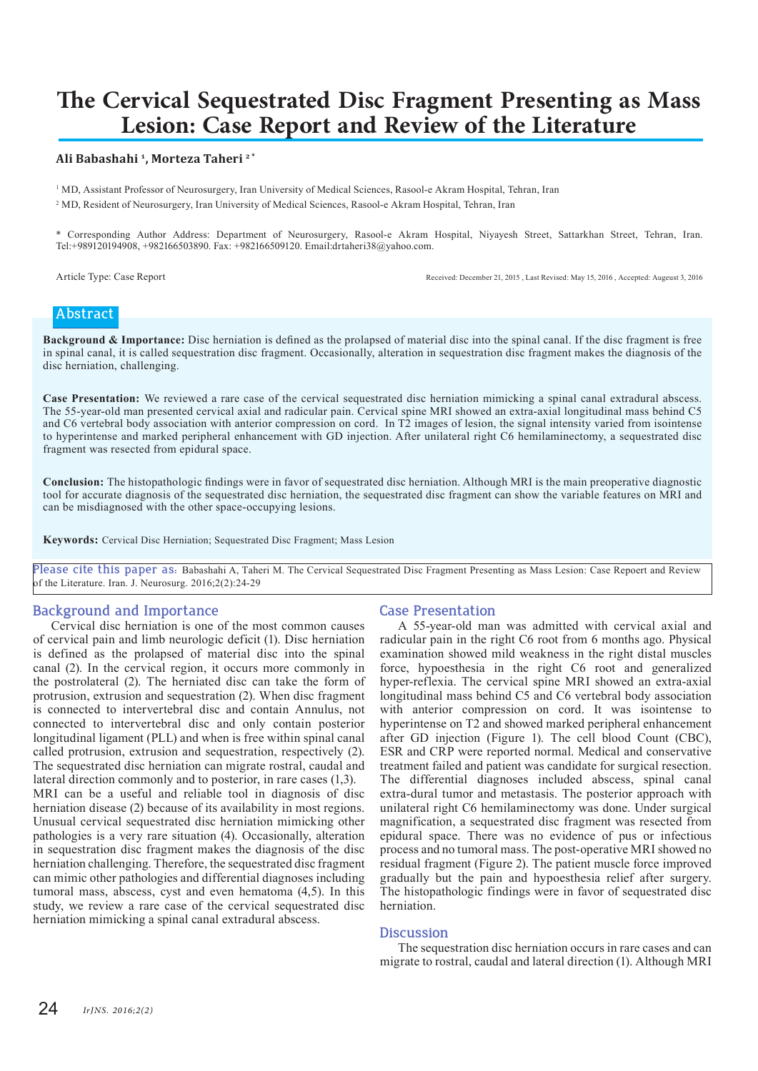# **The Cervical Sequestrated Disc Fragment Presenting as Mass Lesion: Case Report and Review of the Literature**

### **Ali Babashahi <sup>1</sup>, Morteza Taheri 2 \***

<sup>1</sup> MD, Assistant Professor of Neurosurgery, Iran University of Medical Sciences, Rasool-e Akram Hospital, Tehran, Iran 2 MD, Resident of Neurosurgery, Iran University of Medical Sciences, Rasool-e Akram Hospital, Tehran, Iran

\* Corresponding Author Address: Department of Neurosurgery, Rasool-e Akram Hospital, Niyayesh Street, Sattarkhan Street, Tehran, Iran. Tel:+989120194908, +982166503890. Fax: +982166509120. Email:drtaheri38@yahoo.com.

Article Type: Case Report Received: December 21, 2015, Last Revised: May 15, 2016, Accepted: Augeust 3, 2016

# **Abstract**

**Background & Importance:** Disc herniation is defined as the prolapsed of material disc into the spinal canal. If the disc fragment is free in spinal canal, it is called sequestration disc fragment. Occasionally, alteration in sequestration disc fragment makes the diagnosis of the disc herniation, challenging.

**Case Presentation:** We reviewed a rare case of the cervical sequestrated disc herniation mimicking a spinal canal extradural abscess. The 55-year-old man presented cervical axial and radicular pain. Cervical spine MRI showed an extra-axial longitudinal mass behind C5 and C6 vertebral body association with anterior compression on cord. In T2 images of lesion, the signal intensity varied from isointense to hyperintense and marked peripheral enhancement with GD injection. After unilateral right C6 hemilaminectomy, a sequestrated disc fragment was resected from epidural space.

**Conclusion:** The histopathologic findings were in favor of sequestrated disc herniation. Although MRI is the main preoperative diagnostic tool for accurate diagnosis of the sequestrated disc herniation, the sequestrated disc fragment can show the variable features on MRI and can be misdiagnosed with the other space-occupying lesions.

**Keywords:** Cervical Disc Herniation; Sequestrated Disc Fragment; Mass Lesion

**Please cite this paper as:** Babashahi A, Taheri M. The Cervical Sequestrated Disc Fragment Presenting as Mass Lesion: Case Repoert and Review of the Literature. Iran. J. Neurosurg. 2016;2(2):24-29

# **Background and Importance**

Cervical disc herniation is one of the most common causes of cervical pain and limb neurologic deficit (1). Disc herniation is defined as the prolapsed of material disc into the spinal canal (2). In the cervical region, it occurs more commonly in the postrolateral (2). The herniated disc can take the form of protrusion, extrusion and sequestration (2). When disc fragment is connected to intervertebral disc and contain Annulus, not connected to intervertebral disc and only contain posterior longitudinal ligament (PLL) and when is free within spinal canal called protrusion, extrusion and sequestration, respectively (2). The sequestrated disc herniation can migrate rostral, caudal and lateral direction commonly and to posterior, in rare cases (1,3). MRI can be a useful and reliable tool in diagnosis of disc herniation disease (2) because of its availability in most regions. Unusual cervical sequestrated disc herniation mimicking other pathologies is a very rare situation (4). Occasionally, alteration in sequestration disc fragment makes the diagnosis of the disc herniation challenging. Therefore, the sequestrated disc fragment can mimic other pathologies and differential diagnoses including tumoral mass, abscess, cyst and even hematoma (4,5). In this study, we review a rare case of the cervical sequestrated disc herniation mimicking a spinal canal extradural abscess.

# **Case Presentation**

A 55-year-old man was admitted with cervical axial and radicular pain in the right C6 root from 6 months ago. Physical examination showed mild weakness in the right distal muscles force, hypoesthesia in the right C6 root and generalized hyper-reflexia. The cervical spine MRI showed an extra-axial longitudinal mass behind C5 and C6 vertebral body association with anterior compression on cord. It was isointense to hyperintense on T2 and showed marked peripheral enhancement after GD injection (Figure 1). The cell blood Count (CBC), ESR and CRP were reported normal. Medical and conservative treatment failed and patient was candidate for surgical resection. The differential diagnoses included abscess, spinal canal extra-dural tumor and metastasis. The posterior approach with unilateral right C6 hemilaminectomy was done. Under surgical magnification, a sequestrated disc fragment was resected from epidural space. There was no evidence of pus or infectious process and no tumoral mass. The post-operative MRI showed no residual fragment (Figure 2). The patient muscle force improved gradually but the pain and hypoesthesia relief after surgery. The histopathologic findings were in favor of sequestrated disc herniation.

#### **Discussion**

The sequestration disc herniation occurs in rare cases and can migrate to rostral, caudal and lateral direction (1). Although MRI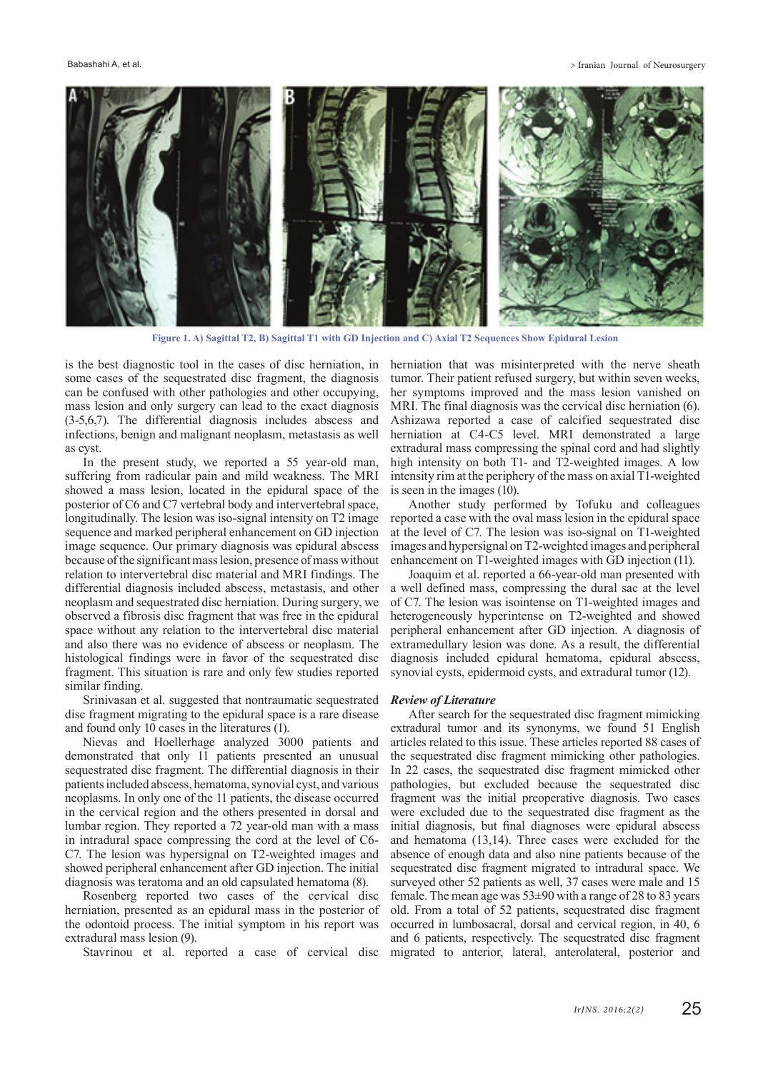Babashahi A, et al. **Intervention and Separate Terms** and Separate Terms and Separate Terms and Separate Terms and Separate Terms and Separate Terms and Separate Terms and Separate Terms and Separate Terms and Separate Ter



**Figure 1. A) Sagittal T2, B) Sagittal T1 with GD Injection and C) Axial T2 Sequences Show Epidural Lesion**

is the best diagnostic tool in the cases of disc herniation, in some cases of the sequestrated disc fragment, the diagnosis can be confused with other pathologies and other occupying, mass lesion and only surgery can lead to the exact diagnosis (3-5,6,7). The differential diagnosis includes abscess and infections, benign and malignant neoplasm, metastasis as well as cyst.

In the present study, we reported a 55 year-old man, suffering from radicular pain and mild weakness. The MRI showed a mass lesion, located in the epidural space of the posterior of C6 and C7 vertebral body and intervertebral space, longitudinally. The lesion was iso-signal intensity on T2 image sequence and marked peripheral enhancement on GD injection image sequence. Our primary diagnosis was epidural abscess because of the significant mass lesion, presence of mass without relation to intervertebral disc material and MRI findings. The differential diagnosis included abscess, metastasis, and other neoplasm and sequestrated disc herniation. During surgery, we observed a fibrosis disc fragment that was free in the epidural space without any relation to the intervertebral disc material and also there was no evidence of abscess or neoplasm. The histological findings were in favor of the sequestrated disc fragment. This situation is rare and only few studies reported similar finding.

Srinivasan et al. suggested that nontraumatic sequestrated disc fragment migrating to the epidural space is a rare disease and found only 10 cases in the literatures (1).

Nievas and Hoellerhage analyzed 3000 patients and demonstrated that only 11 patients presented an unusual sequestrated disc fragment. The differential diagnosis in their patients included abscess, hematoma, synovial cyst, and various neoplasms. In only one of the 11 patients, the disease occurred in the cervical region and the others presented in dorsal and lumbar region. They reported a 72 year-old man with a mass in intradural space compressing the cord at the level of C6- C7. The lesion was hypersignal on T2-weighted images and showed peripheral enhancement after GD injection. The initial diagnosis was teratoma and an old capsulated hematoma (8).

Rosenberg reported two cases of the cervical disc herniation, presented as an epidural mass in the posterior of the odontoid process. The initial symptom in his report was extradural mass lesion (9).

Stavrinou et al. reported a case of cervical disc

herniation that was misinterpreted with the nerve sheath tumor. Their patient refused surgery, but within seven weeks, her symptoms improved and the mass lesion vanished on MRI. The final diagnosis was the cervical disc herniation (6). Ashizawa reported a case of calcified sequestrated disc herniation at C4-C5 level. MRI demonstrated a large extradural mass compressing the spinal cord and had slightly high intensity on both T1- and T2-weighted images. A low intensity rim at the periphery of the mass on axial T1-weighted is seen in the images (10).

Another study performed by Tofuku and colleagues reported a case with the oval mass lesion in the epidural space at the level of C7. The lesion was iso-signal on T1-weighted images and hypersignal on T2-weighted images and peripheral enhancement on T1-weighted images with GD injection (11).

Joaquim et al. reported a 66-year-old man presented with a well defined mass, compressing the dural sac at the level of C7. The lesion was isointense on T1-weighted images and heterogeneously hyperintense on T2-weighted and showed peripheral enhancement after GD injection. A diagnosis of extramedullary lesion was done. As a result, the differential diagnosis included epidural hematoma, epidural abscess, synovial cysts, epidermoid cysts, and extradural tumor (12).

#### *Review of Literature*

After search for the sequestrated disc fragment mimicking extradural tumor and its synonyms, we found 51 English articles related to this issue. These articles reported 88 cases of the sequestrated disc fragment mimicking other pathologies. In 22 cases, the sequestrated disc fragment mimicked other pathologies, but excluded because the sequestrated disc fragment was the initial preoperative diagnosis. Two cases were excluded due to the sequestrated disc fragment as the initial diagnosis, but final diagnoses were epidural abscess and hematoma (13,14). Three cases were excluded for the absence of enough data and also nine patients because of the sequestrated disc fragment migrated to intradural space. We surveyed other 52 patients as well, 37 cases were male and 15 female. The mean age was  $53\pm90$  with a range of 28 to 83 years old. From a total of 52 patients, sequestrated disc fragment occurred in lumbosacral, dorsal and cervical region, in 40, 6 and 6 patients, respectively. The sequestrated disc fragment migrated to anterior, lateral, anterolateral, posterior and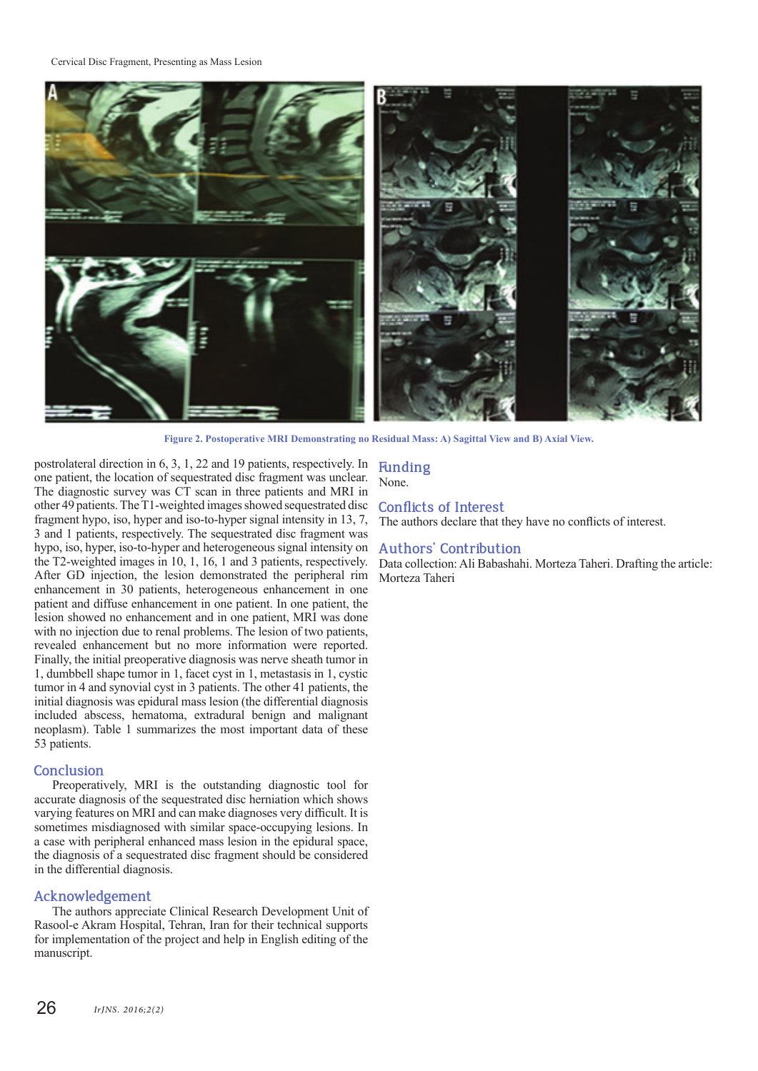Cervical Disc Fragment, Presenting as Mass Lesion



**Figure 2. Postoperative MRI Demonstrating no Residual Mass: A) Sagittal View and B) Axial View.**

postrolateral direction in 6, 3, 1, 22 and 19 patients, respectively. In one patient, the location of sequestrated disc fragment was unclear. The diagnostic survey was CT scan in three patients and MRI in other 49 patients. The T1-weighted images showed sequestrated disc fragment hypo, iso, hyper and iso-to-hyper signal intensity in 13, 7, 3 and 1 patients, respectively. The sequestrated disc fragment was hypo, iso, hyper, iso-to-hyper and heterogeneous signal intensity on the T2-weighted images in 10, 1, 16, 1 and 3 patients, respectively. After GD injection, the lesion demonstrated the peripheral rim enhancement in 30 patients, heterogeneous enhancement in one patient and diffuse enhancement in one patient. In one patient, the lesion showed no enhancement and in one patient, MRI was done with no injection due to renal problems. The lesion of two patients, revealed enhancement but no more information were reported. Finally, the initial preoperative diagnosis was nerve sheath tumor in 1, dumbbell shape tumor in 1, facet cyst in 1, metastasis in 1, cystic tumor in 4 and synovial cyst in 3 patients. The other 41 patients, the initial diagnosis was epidural mass lesion (the differential diagnosis included abscess, hematoma, extradural benign and malignant neoplasm). Table 1 summarizes the most important data of these 53 patients.

### **Conclusion**

Preoperatively, MRI is the outstanding diagnostic tool for accurate diagnosis of the sequestrated disc herniation which shows varying features on MRI and can make diagnoses very difficult. It is sometimes misdiagnosed with similar space-occupying lesions. In a case with peripheral enhanced mass lesion in the epidural space, the diagnosis of a sequestrated disc fragment should be considered in the differential diagnosis.

## **Acknowledgement**

The authors appreciate Clinical Research Development Unit of Rasool-e Akram Hospital, Tehran, Iran for their technical supports for implementation of the project and help in English editing of the manuscript.

## **Funding** None.

# **Conflicts of Interest**

The authors declare that they have no conflicts of interest.

# **Authors' Contribution**

Data collection: Ali Babashahi. Morteza Taheri. Drafting the article: Morteza Taheri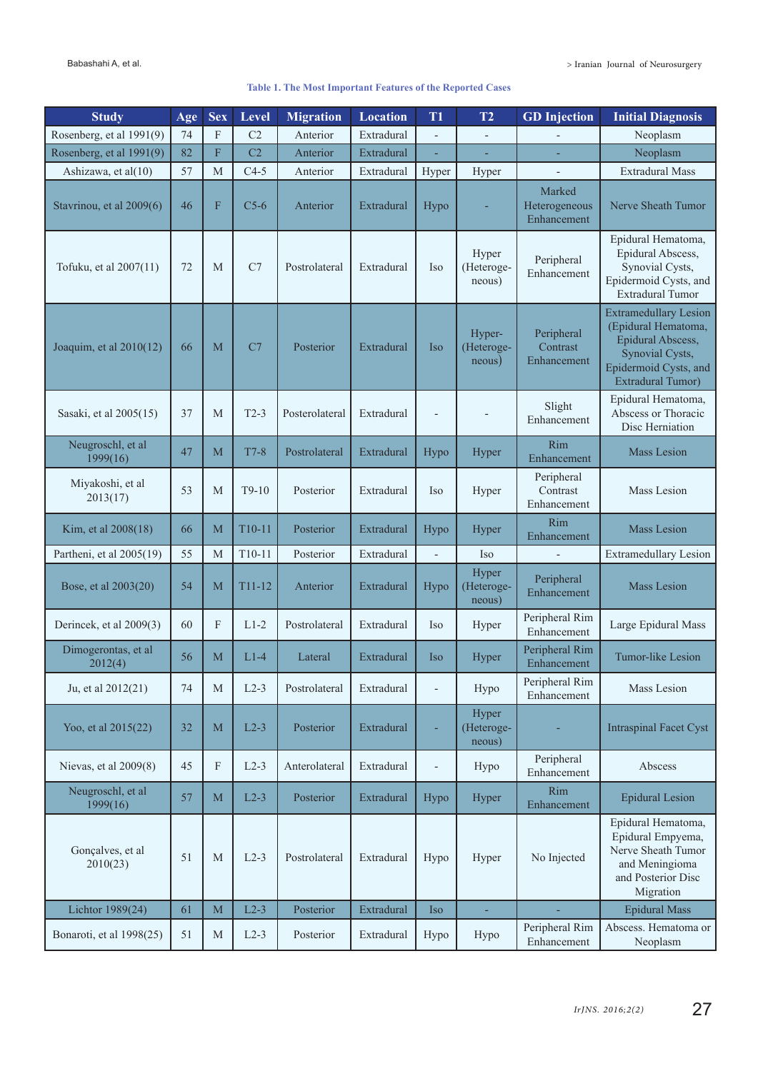## **Table 1. The Most Important Features of the Reported Cases**

| <b>Study</b>                   | Age | <b>Sex</b>  | Level          | <b>Migration</b> | <b>Location</b> | T <sub>1</sub>           | T2                             | <b>GD</b> Injection                    | <b>Initial Diagnosis</b>                                                                                                                         |
|--------------------------------|-----|-------------|----------------|------------------|-----------------|--------------------------|--------------------------------|----------------------------------------|--------------------------------------------------------------------------------------------------------------------------------------------------|
| Rosenberg, et al 1991(9)       | 74  | F           | C <sub>2</sub> | Anterior         | Extradural      |                          | ÷,                             |                                        | Neoplasm                                                                                                                                         |
| Rosenberg, et al 1991(9)       | 82  | F           | C2             | Anterior         | Extradural      |                          | ٠                              |                                        | Neoplasm                                                                                                                                         |
| Ashizawa, et al(10)            | 57  | M           | $C4-5$         | Anterior         | Extradural      | Hyper                    | Hyper                          |                                        | <b>Extradural Mass</b>                                                                                                                           |
| Stavrinou, et al 2009(6)       | 46  | F           | $C5-6$         | Anterior         | Extradural      | Hypo                     |                                | Marked<br>Heterogeneous<br>Enhancement | Nerve Sheath Tumor                                                                                                                               |
| Tofuku, et al 2007(11)         | 72  | M           | C7             | Postrolateral    | Extradural      | Iso                      | Hyper<br>(Heteroge-<br>neous)  | Peripheral<br>Enhancement              | Epidural Hematoma,<br>Epidural Abscess,<br>Synovial Cysts,<br>Epidermoid Cysts, and<br><b>Extradural Tumor</b>                                   |
| Joaquim, et al $2010(12)$      | 66  | M           | C7             | Posterior        | Extradural      | <b>Iso</b>               | Hyper-<br>(Heteroge-<br>neous) | Peripheral<br>Contrast<br>Enhancement  | <b>Extramedullary Lesion</b><br>(Epidural Hematoma,<br>Epidural Abscess,<br>Synovial Cysts,<br>Epidermoid Cysts, and<br><b>Extradural Tumor)</b> |
| Sasaki, et al 2005(15)         | 37  | M           | $T2-3$         | Posterolateral   | Extradural      | ÷                        | $\overline{\phantom{a}}$       | Slight<br>Enhancement                  | Epidural Hematoma,<br>Abscess or Thoracic<br>Disc Herniation                                                                                     |
| Neugroschl, et al<br>1999(16)  | 47  | M           | $T7-8$         | Postrolateral    | Extradural      | Hypo                     | Hyper                          | Rim<br>Enhancement                     | <b>Mass Lesion</b>                                                                                                                               |
| Miyakoshi, et al<br>2013(17)   | 53  | M           | $T9-10$        | Posterior        | Extradural      | Iso                      | Hyper                          | Peripheral<br>Contrast<br>Enhancement  | Mass Lesion                                                                                                                                      |
| Kim, et al 2008(18)            | 66  | M           | T10-11         | Posterior        | Extradural      | Hypo                     | Hyper                          | Rim<br>Enhancement                     | <b>Mass Lesion</b>                                                                                                                               |
| Partheni, et al 2005(19)       | 55  | М           | $T10-11$       | Posterior        | Extradural      |                          | Iso                            |                                        | <b>Extramedullary Lesion</b>                                                                                                                     |
| Bose, et al 2003(20)           | 54  | M           | $T11 - 12$     | Anterior         | Extradural      | Hypo                     | Hyper<br>(Heteroge-<br>neous)  | Peripheral<br>Enhancement              | <b>Mass Lesion</b>                                                                                                                               |
| Derincek, et al 2009(3)        | 60  | F           | $L1-2$         | Postrolateral    | Extradural      | <b>Iso</b>               | Hyper                          | Peripheral Rim<br>Enhancement          | Large Epidural Mass                                                                                                                              |
| Dimogerontas, et al<br>2012(4) | 56  | M           | $L1-4$         | Lateral          | Extradural      | <b>Iso</b>               | Hyper                          | Peripheral Rim<br>Enhancement          | Tumor-like Lesion                                                                                                                                |
| Ju, et al 2012(21)             | 74  | $\mathbf M$ | $L2-3$         | Postrolateral    | Extradural      | $\overline{\phantom{a}}$ | Hypo                           | Peripheral Rim<br>Enhancement          | Mass Lesion                                                                                                                                      |
| Yoo, et al 2015(22)            | 32  | M           | $L2-3$         | Posterior        | Extradural      | ٠                        | Hyper<br>(Heteroge-<br>neous)  |                                        | <b>Intraspinal Facet Cyst</b>                                                                                                                    |
| Nievas, et al 2009(8)          | 45  | F           | $L2-3$         | Anterolateral    | Extradural      | $\overline{a}$           | Hypo                           | Peripheral<br>Enhancement              | Abscess                                                                                                                                          |
| Neugroschl, et al<br>1999(16)  | 57  | M           | $L2-3$         | Posterior        | Extradural      | Hypo                     | Hyper                          | <b>Rim</b><br>Enhancement              | <b>Epidural Lesion</b>                                                                                                                           |
| Gonçalves, et al<br>2010(23)   | 51  | M           | $L2-3$         | Postrolateral    | Extradural      | Hypo                     | Hyper                          | No Injected                            | Epidural Hematoma,<br>Epidural Empyema,<br>Nerve Sheath Tumor<br>and Meningioma<br>and Posterior Disc<br>Migration                               |
| Lichtor 1989(24)               | 61  | M           | $L2-3$         | Posterior        | Extradural      | <b>Iso</b>               | ÷,                             |                                        | <b>Epidural Mass</b>                                                                                                                             |
| Bonaroti, et al 1998(25)       | 51  | M           | $L2-3$         | Posterior        | Extradural      | Hypo                     | Hypo                           | Peripheral Rim<br>Enhancement          | Abscess. Hematoma or<br>Neoplasm                                                                                                                 |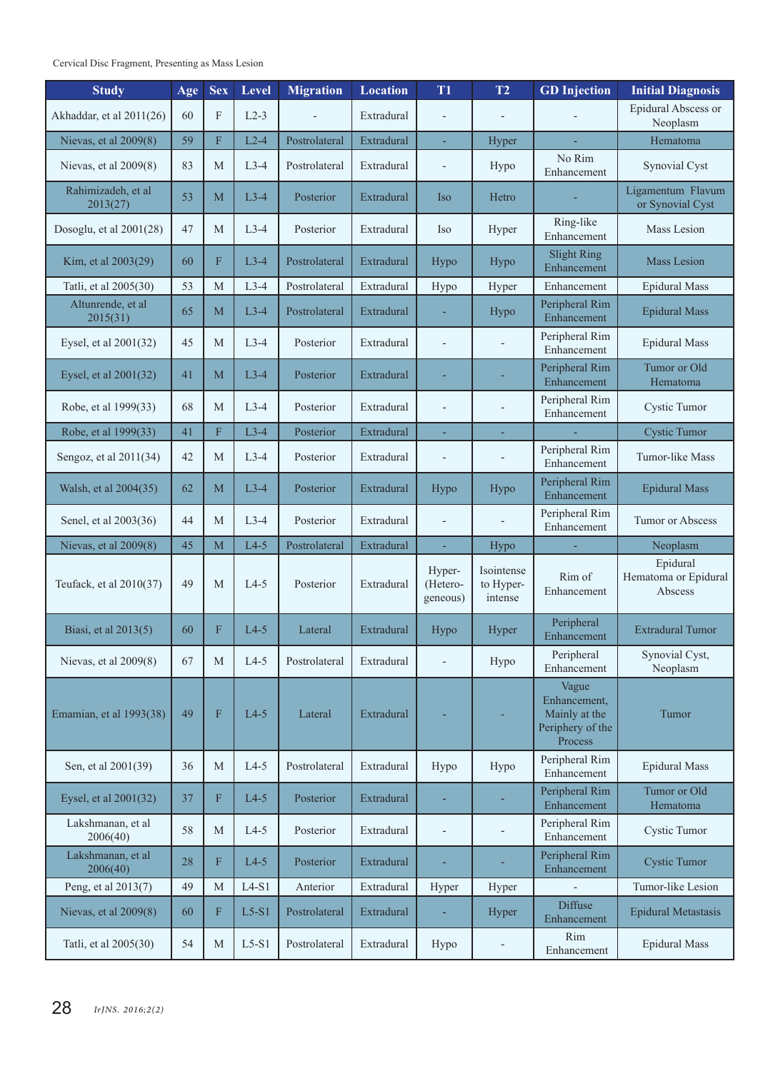Cervical Disc Fragment, Presenting as Mass Lesion

| <b>Study</b>                   | Age | <b>Sex</b>                | Level   | <b>Migration</b> | <b>Location</b> | T <sub>1</sub>                 | T2                                 | <b>GD</b> Injection                                                   | <b>Initial Diagnosis</b>                    |
|--------------------------------|-----|---------------------------|---------|------------------|-----------------|--------------------------------|------------------------------------|-----------------------------------------------------------------------|---------------------------------------------|
| Akhaddar, et al 2011(26)       | 60  | F                         | $L2-3$  |                  | Extradural      |                                |                                    |                                                                       | Epidural Abscess or<br>Neoplasm             |
| Nievas, et al 2009(8)          | 59  | F                         | $L2-4$  | Postrolateral    | Extradural      | ä,                             | Hyper                              |                                                                       | Hematoma                                    |
| Nievas, et al $2009(8)$        | 83  | M                         | $L3-4$  | Postrolateral    | Extradural      | $\overline{a}$                 | No Rim<br>Hypo<br>Enhancement      |                                                                       | Synovial Cyst                               |
| Rahimizadeh, et al<br>2013(27) | 53  | M                         | $L3-4$  | Posterior        | Extradural      | Iso                            | Hetro                              |                                                                       | Ligamentum Flavum<br>or Synovial Cyst       |
| Dosoglu, et al 2001(28)        | 47  | M                         | $L3-4$  | Posterior        | Extradural      | <b>Iso</b>                     | Hyper                              | Ring-like<br>Enhancement                                              | Mass Lesion                                 |
| Kim, et al 2003(29)            | 60  | F                         | $L3-4$  | Postrolateral    | Extradural      | Hypo                           | Hypo                               | <b>Slight Ring</b><br>Enhancement                                     | <b>Mass Lesion</b>                          |
| Tatli, et al 2005(30)          | 53  | M                         | $L3-4$  | Postrolateral    | Extradural      | Hypo                           | Hyper                              | Enhancement                                                           | <b>Epidural Mass</b>                        |
| Altunrende, et al<br>2015(31)  | 65  | M                         | $L3-4$  | Postrolateral    | Extradural      | L,                             | Hypo                               | Peripheral Rim<br>Enhancement                                         | <b>Epidural Mass</b>                        |
| Eysel, et al 2001(32)          | 45  | M                         | $L3-4$  | Posterior        | Extradural      | $\overline{a}$                 |                                    | Peripheral Rim<br>Enhancement                                         | <b>Epidural Mass</b>                        |
| Eysel, et al 2001(32)          | 41  | M                         | $L3-4$  | Posterior        | Extradural      |                                |                                    | Peripheral Rim<br>Enhancement                                         | Tumor or Old<br>Hematoma                    |
| Robe, et al 1999(33)           | 68  | M                         | $L3-4$  | Posterior        | Extradural      |                                |                                    | Peripheral Rim<br>Enhancement                                         | Cystic Tumor                                |
| Robe, et al 1999(33)           | 41  | F                         | $L3-4$  | Posterior        | Extradural      | ÷                              | ÷                                  |                                                                       | <b>Cystic Tumor</b>                         |
| Sengoz, et al 2011(34)         | 42  | M                         | $L3-4$  | Posterior        | Extradural      | L,                             |                                    | Peripheral Rim<br>Enhancement                                         | Tumor-like Mass                             |
| Walsh, et al 2004(35)          | 62  | M                         | $L3-4$  | Posterior        | Extradural      | Hypo                           | Hypo                               | Peripheral Rim<br>Enhancement                                         | <b>Epidural Mass</b>                        |
| Senel, et al 2003(36)          | 44  | M                         | $L3-4$  | Posterior        | Extradural      |                                |                                    | Peripheral Rim<br>Enhancement                                         | Tumor or Abscess                            |
| Nievas, et al 2009(8)          | 45  | M                         | $L4-5$  | Postrolateral    | Extradural      | ÷,                             | Hypo                               |                                                                       | Neoplasm                                    |
| Teufack, et al 2010(37)        | 49  | M                         | $L4-5$  | Posterior        | Extradural      | Hyper-<br>(Hetero-<br>geneous) | Isointense<br>to Hyper-<br>intense | Rim of<br>Enhancement                                                 | Epidural<br>Hematoma or Epidural<br>Abscess |
| Biasi, et al 2013(5)           | 60  | F                         | $L4-5$  | Lateral          | Extradural      | Hypo                           | Hyper                              | Peripheral<br>Enhancement                                             | <b>Extradural Tumor</b>                     |
| Nievas, et al 2009(8)          | 67  | M                         | $L4-5$  | Postrolateral    | Extradural      | $\overline{\phantom{a}}$       | Hypo                               | Peripheral<br>Enhancement                                             | Synovial Cyst,<br>Neoplasm                  |
| Emamian, et al 1993(38)        | 49  | $\boldsymbol{\mathrm{F}}$ | $L4-5$  | Lateral          | Extradural      |                                |                                    | Vague<br>Enhancement,<br>Mainly at the<br>Periphery of the<br>Process | Tumor                                       |
| Sen, et al 2001(39)            | 36  | $\mathbf M$               | $L4-5$  | Postrolateral    | Extradural      | Hypo                           | Hypo                               | Peripheral Rim<br>Enhancement                                         | <b>Epidural Mass</b>                        |
| Eysel, et al 2001(32)          | 37  | F                         | $L4-5$  | Posterior        | Extradural      |                                |                                    | Peripheral Rim<br>Enhancement                                         | Tumor or Old<br>Hematoma                    |
| Lakshmanan, et al<br>2006(40)  | 58  | M                         | $L4-5$  | Posterior        | Extradural      | $\overline{a}$                 |                                    | Peripheral Rim<br>Enhancement                                         | Cystic Tumor                                |
| Lakshmanan, et al<br>2006(40)  | 28  | F                         | $L4-5$  | Posterior        | Extradural      | L,                             |                                    | Peripheral Rim<br>Enhancement                                         | <b>Cystic Tumor</b>                         |
| Peng, et al 2013(7)            | 49  | $\mathbf M$               | $L4-S1$ | Anterior         | Extradural      | Hyper                          | Hyper                              |                                                                       | Tumor-like Lesion                           |
| Nievas, et al 2009(8)          | 60  | F                         | $L5-S1$ | Postrolateral    | Extradural      | ÷                              | Hyper                              | <b>Diffuse</b><br>Enhancement                                         | <b>Epidural Metastasis</b>                  |
| Tatli, et al 2005(30)          | 54  | $\mathbf M$               | $L5-S1$ | Postrolateral    | Extradural      | Hypo                           |                                    | Rim<br>Enhancement                                                    | <b>Epidural Mass</b>                        |